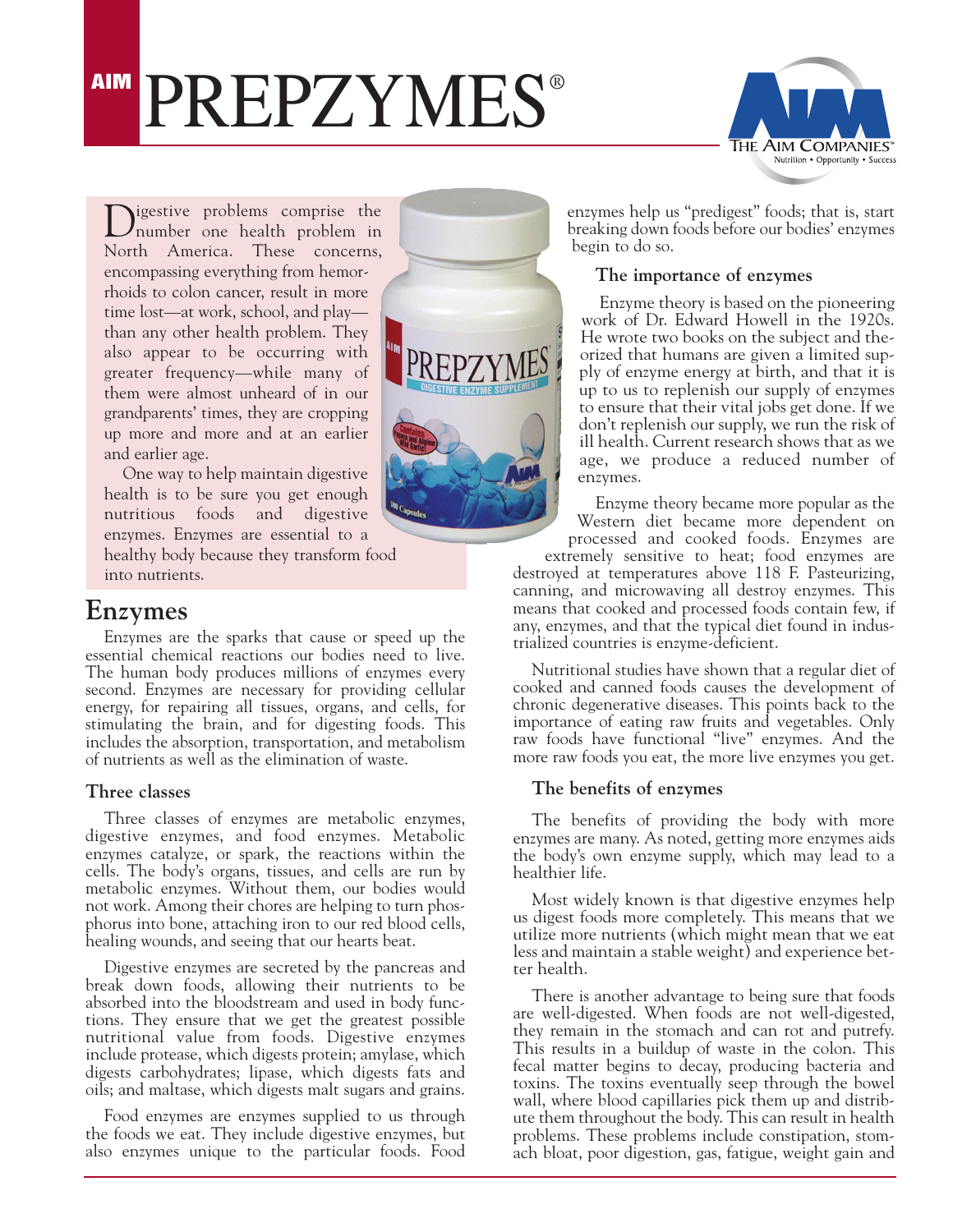# **AIM PREPZYMES®**



**Nigestive** problems comprise the number one health problem in North America. These concerns, encompassing everything from hemorrhoids to colon cancer, result in more time lost—at work, school, and play than any other health problem. They also appear to be occurring with greater frequency—while many of them were almost unheard of in our grandparents' times, they are cropping up more and more and at an earlier and earlier age.

One way to help maintain digestive health is to be sure you get enough nutritious foods and digestive enzymes. Enzymes are essential to a healthy body because they transform food into nutrients.

## **Enzymes**

Enzymes are the sparks that cause or speed up the essential chemical reactions our bodies need to live. The human body produces millions of enzymes every second. Enzymes are necessary for providing cellular energy, for repairing all tissues, organs, and cells, for stimulating the brain, and for digesting foods. This includes the absorption, transportation, and metabolism of nutrients as well as the elimination of waste.

## **Three classes**

Three classes of enzymes are metabolic enzymes, digestive enzymes, and food enzymes. Metabolic enzymes catalyze, or spark, the reactions within the cells. The body's organs, tissues, and cells are run by metabolic enzymes. Without them, our bodies would not work. Among their chores are helping to turn phosphorus into bone, attaching iron to our red blood cells, healing wounds, and seeing that our hearts beat.

Digestive enzymes are secreted by the pancreas and break down foods, allowing their nutrients to be absorbed into the bloodstream and used in body functions. They ensure that we get the greatest possible nutritional value from foods. Digestive enzymes include protease, which digests protein; amylase, which digests carbohydrates; lipase, which digests fats and oils; and maltase, which digests malt sugars and grains.

Food enzymes are enzymes supplied to us through the foods we eat. They include digestive enzymes, but also enzymes unique to the particular foods. Food



enzymes help us "predigest" foods; that is, start breaking down foods before our bodies' enzymes begin to do so.

## **The importance of enzymes**

Enzyme theory is based on the pioneering work of Dr. Edward Howell in the 1920s. He wrote two books on the subject and theorized that humans are given a limited supply of enzyme energy at birth, and that it is up to us to replenish our supply of enzymes to ensure that their vital jobs get done. If we don't replenish our supply, we run the risk of ill health. Current research shows that as we age, we produce a reduced number of enzymes.

Enzyme theory became more popular as the Western diet became more dependent on processed and cooked foods. Enzymes are

extremely sensitive to heat; food enzymes are destroyed at temperatures above 118 F. Pasteurizing, canning, and microwaving all destroy enzymes. This means that cooked and processed foods contain few, if any, enzymes, and that the typical diet found in industrialized countries is enzyme-deficient.

Nutritional studies have shown that a regular diet of cooked and canned foods causes the development of chronic degenerative diseases. This points back to the importance of eating raw fruits and vegetables. Only raw foods have functional "live" enzymes. And the more raw foods you eat, the more live enzymes you get.

## **The benefits of enzymes**

The benefits of providing the body with more enzymes are many. As noted, getting more enzymes aids the body's own enzyme supply, which may lead to a healthier life.

Most widely known is that digestive enzymes help us digest foods more completely. This means that we utilize more nutrients (which might mean that we eat less and maintain a stable weight) and experience better health.

There is another advantage to being sure that foods are well-digested. When foods are not well-digested, they remain in the stomach and can rot and putrefy. This results in a buildup of waste in the colon. This fecal matter begins to decay, producing bacteria and toxins. The toxins eventually seep through the bowel wall, where blood capillaries pick them up and distribute them throughout the body. This can result in health problems. These problems include constipation, stomach bloat, poor digestion, gas, fatigue, weight gain and